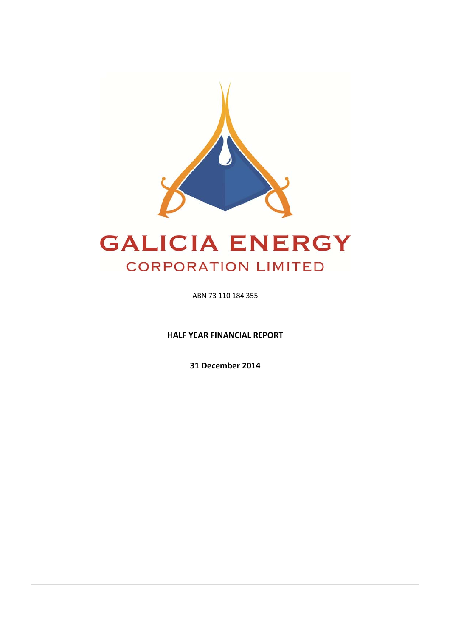

# **GALICIA ENERGY CORPORATION LIMITED**

ABN 73 110 184 355

**HALF YEAR FINANCIAL REPORT** 

**31 December 2014**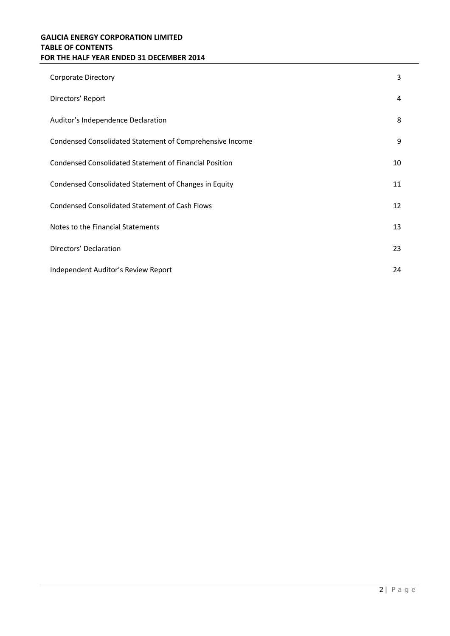# **GALICIA ENERGY CORPORATION LIMITED TABLE OF CONTENTS FOR THE HALF YEAR ENDED 31 DECEMBER 2014**

| <b>Corporate Directory</b>                               | 3  |
|----------------------------------------------------------|----|
| Directors' Report                                        | 4  |
| Auditor's Independence Declaration                       | 8  |
| Condensed Consolidated Statement of Comprehensive Income | 9  |
| Condensed Consolidated Statement of Financial Position   | 10 |
| Condensed Consolidated Statement of Changes in Equity    | 11 |
| <b>Condensed Consolidated Statement of Cash Flows</b>    | 12 |
| Notes to the Financial Statements                        | 13 |
| Directors' Declaration                                   | 23 |
| Independent Auditor's Review Report                      | 24 |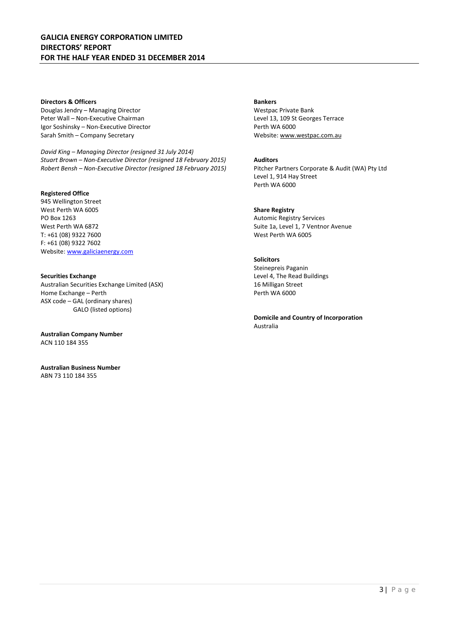## **GALICIA ENERGY CORPORATION LIMITED DIRECTORS' REPORT FOR THE HALF YEAR ENDED 31 DECEMBER 2014**

#### **Directors & Officers**

Douglas Jendry – Managing Director Peter Wall – Non-Executive Chairman Igor Soshinsky – Non-Executive Director Sarah Smith – Company Secretary

*David King – Managing Director (resigned 31 July 2014) Stuart Brown – Non-Executive Director (resigned 18 February 2015) Robert Bensh – Non-Executive Director (resigned 18 February 2015)* 

#### **Registered Office**

945 Wellington Street West Perth WA 6005 PO Box 1263 West Perth WA 6872 T: +61 (08) 9322 7600 F: +61 (08) 9322 7602 Website: www.galiciaenergy.com

**Securities Exchange**  Australian Securities Exchange Limited (ASX) Home Exchange – Perth ASX code – GAL (ordinary shares) GALO (listed options)

**Australian Company Number**  ACN 110 184 355

**Australian Business Number**  ABN 73 110 184 355

#### **Bankers**

Westpac Private Bank Level 13, 109 St Georges Terrace Perth WA 6000 Website: www.westpac.com.au

#### **Auditors**

Pitcher Partners Corporate & Audit (WA) Pty Ltd Level 1, 914 Hay Street Perth WA 6000

#### **Share Registry**

Automic Registry Services Suite 1a, Level 1, 7 Ventnor Avenue West Perth WA 6005

## **Solicitors**

Steinepreis Paganin Level 4, The Read Buildings 16 Milligan Street Perth WA 6000

**Domicile and Country of Incorporation**  Australia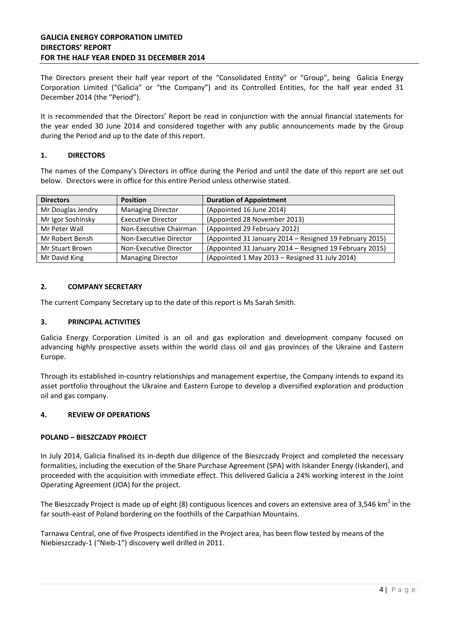## **GALICIA ENERGY CORPORATION LIMITED DIRECTORS' REPORT FOR THE HALF YEAR ENDED 31 DECEMBER 2014**

The Directors present their half year report of the "Consolidated Entity" or "Group", being Galicia Energy Corporation Limited ("Galicia" or "the Company") and its Controlled Entities, for the half year ended 31 December 2014 (the "Period").

It is recommended that the Directors' Report be read in conjunction with the annual financial statements for the year ended 30 June 2014 and considered together with any public announcements made by the Group during the Period and up to the date of this report.

## **1. DIRECTORS**

The names of the Company's Directors in office during the Period and until the date of this report are set out below. Directors were in office for this entire Period unless otherwise stated.

| <b>Directors</b>  | <b>Position</b>           | <b>Duration of Appointment</b>                          |
|-------------------|---------------------------|---------------------------------------------------------|
| Mr Douglas Jendry | <b>Managing Director</b>  | (Appointed 16 June 2014)                                |
| Mr Igor Soshinsky | <b>Executive Director</b> | (Appointed 28 November 2013)                            |
| Mr Peter Wall     | Non-Executive Chairman    | (Appointed 29 February 2012)                            |
| Mr Robert Bensh   | Non-Executive Director    | (Appointed 31 January 2014 - Resigned 19 February 2015) |
| Mr Stuart Brown   | Non-Executive Director    | (Appointed 31 January 2014 - Resigned 19 February 2015) |
| Mr David King     | <b>Managing Director</b>  | (Appointed 1 May 2013 - Resigned 31 July 2014)          |

## **2. COMPANY SECRETARY**

The current Company Secretary up to the date of this report is Ms Sarah Smith.

#### **3. PRINCIPAL ACTIVITIES**

Galicia Energy Corporation Limited is an oil and gas exploration and development company focused on advancing highly prospective assets within the world class oil and gas provinces of the Ukraine and Eastern Europe.

Through its established in-country relationships and management expertise, the Company intends to expand its asset portfolio throughout the Ukraine and Eastern Europe to develop a diversified exploration and production oil and gas company.

#### **4. REVIEW OF OPERATIONS**

#### **POLAND – BIESZCZADY PROJECT**

In July 2014, Galicia finalised its in-depth due diligence of the Bieszczady Project and completed the necessary formalities, including the execution of the Share Purchase Agreement (SPA) with Iskander Energy (Iskander), and proceeded with the acquisition with immediate effect. This delivered Galicia a 24% working interest in the Joint Operating Agreement (JOA) for the project.

The Bieszczady Project is made up of eight (8) contiguous licences and covers an extensive area of 3,546 km<sup>2</sup> in the far south-east of Poland bordering on the foothills of the Carpathian Mountains.

Tarnawa Central, one of five Prospects identified in the Project area, has been flow tested by means of the Niebieszczady-1 ("Nieb-1") discovery well drilled in 2011.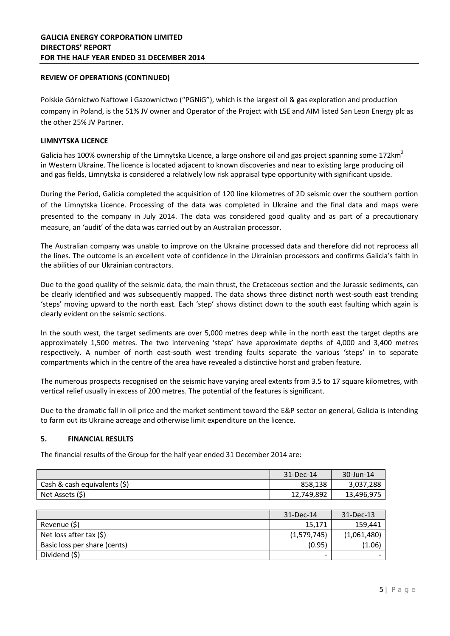## **REVIEW OF OPERATIONS (CONTINUED)**

Polskie Górnictwo Naftowe i Gazownictwo ("PGNiG"), which is the largest oil & gas exploration and production company in Poland, is the 51% JV owner and Operator of the Project with LSE and AIM listed San Leon Energy plc as the other 25% JV Partner.

#### **LIMNYTSKA LICENCE**

Galicia has 100% ownership of the Limnytska Licence, a large onshore oil and gas project spanning some 172 $km^2$ in Western Ukraine. The licence is located adjacent to known discoveries and near to existing large producing oil and gas fields, Limnytska is considered a relatively low risk appraisal type opportunity with significant upside.

During the Period, Galicia completed the acquisition of 120 line kilometres of 2D seismic over the southern portion of the Limnytska Licence. Processing of the data was completed in Ukraine and the final data and maps were presented to the company in July 2014. The data was considered good quality and as part of a precautionary measure, an 'audit' of the data was carried out by an Australian processor.

The Australian company was unable to improve on the Ukraine processed data and therefore did not reprocess all the lines. The outcome is an excellent vote of confidence in the Ukrainian processors and confirms Galicia's faith in the abilities of our Ukrainian contractors.

Due to the good quality of the seismic data, the main thrust, the Cretaceous section and the Jurassic sediments, can be clearly identified and was subsequently mapped. The data shows three distinct north west-south east trending 'steps' moving upward to the north east. Each 'step' shows distinct down to the south east faulting which again is clearly evident on the seismic sections.

In the south west, the target sediments are over 5,000 metres deep while in the north east the target depths are approximately 1,500 metres. The two intervening 'steps' have approximate depths of 4,000 and 3,400 metres respectively. A number of north east-south west trending faults separate the various 'steps' in to separate compartments which in the centre of the area have revealed a distinctive horst and graben feature.

The numerous prospects recognised on the seismic have varying areal extents from 3.5 to 17 square kilometres, with vertical relief usually in excess of 200 metres. The potential of the features is significant.

Due to the dramatic fall in oil price and the market sentiment toward the E&P sector on general, Galicia is intending to farm out its Ukraine acreage and otherwise limit expenditure on the licence.

## **5. FINANCIAL RESULTS**

The financial results of the Group for the half year ended 31 December 2014 are:

|                              | 31-Dec-14  | 30-Jun-14  |
|------------------------------|------------|------------|
| Cash & cash equivalents (\$) | 858.138    | 3,037,288  |
| Net Assets (\$)              | 12,749,892 | 13,496,975 |

|                              | 31-Dec-14   | 31-Dec-13                |
|------------------------------|-------------|--------------------------|
| Revenue (\$)                 | 15,171      | 159,441                  |
| Net loss after tax $(5)$     | (1,579,745) | (1,061,480)              |
| Basic loss per share (cents) | (0.95)      | (1.06)                   |
| Dividend (\$)                | -           | $\overline{\phantom{0}}$ |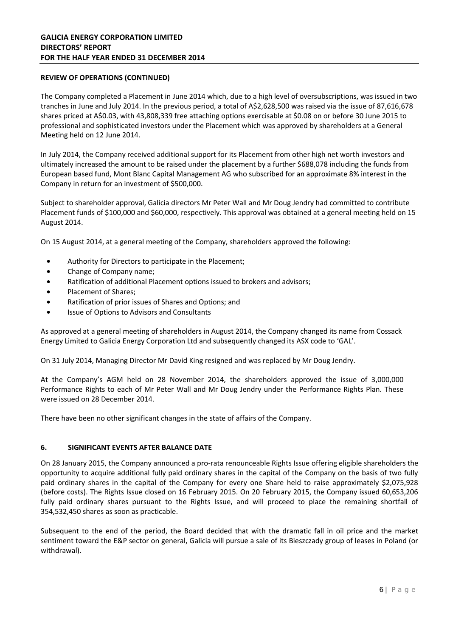## **REVIEW OF OPERATIONS (CONTINUED)**

The Company completed a Placement in June 2014 which, due to a high level of oversubscriptions, was issued in two tranches in June and July 2014. In the previous period, a total of A\$2,628,500 was raised via the issue of 87,616,678 shares priced at A\$0.03, with 43,808,339 free attaching options exercisable at \$0.08 on or before 30 June 2015 to professional and sophisticated investors under the Placement which was approved by shareholders at a General Meeting held on 12 June 2014.

In July 2014, the Company received additional support for its Placement from other high net worth investors and ultimately increased the amount to be raised under the placement by a further \$688,078 including the funds from European based fund, Mont Blanc Capital Management AG who subscribed for an approximate 8% interest in the Company in return for an investment of \$500,000.

Subject to shareholder approval, Galicia directors Mr Peter Wall and Mr Doug Jendry had committed to contribute Placement funds of \$100,000 and \$60,000, respectively. This approval was obtained at a general meeting held on 15 August 2014.

On 15 August 2014, at a general meeting of the Company, shareholders approved the following:

- Authority for Directors to participate in the Placement;
- Change of Company name;
- Ratification of additional Placement options issued to brokers and advisors;
- Placement of Shares;
- Ratification of prior issues of Shares and Options; and
- Issue of Options to Advisors and Consultants

As approved at a general meeting of shareholders in August 2014, the Company changed its name from Cossack Energy Limited to Galicia Energy Corporation Ltd and subsequently changed its ASX code to 'GAL'.

On 31 July 2014, Managing Director Mr David King resigned and was replaced by Mr Doug Jendry.

At the Company's AGM held on 28 November 2014, the shareholders approved the issue of 3,000,000 Performance Rights to each of Mr Peter Wall and Mr Doug Jendry under the Performance Rights Plan. These were issued on 28 December 2014.

There have been no other significant changes in the state of affairs of the Company.

#### **6. SIGNIFICANT EVENTS AFTER BALANCE DATE**

On 28 January 2015, the Company announced a pro-rata renounceable Rights Issue offering eligible shareholders the opportunity to acquire additional fully paid ordinary shares in the capital of the Company on the basis of two fully paid ordinary shares in the capital of the Company for every one Share held to raise approximately \$2,075,928 (before costs). The Rights Issue closed on 16 February 2015. On 20 February 2015, the Company issued 60,653,206 fully paid ordinary shares pursuant to the Rights Issue, and will proceed to place the remaining shortfall of 354,532,450 shares as soon as practicable.

Subsequent to the end of the period, the Board decided that with the dramatic fall in oil price and the market sentiment toward the E&P sector on general, Galicia will pursue a sale of its Bieszczady group of leases in Poland (or withdrawal).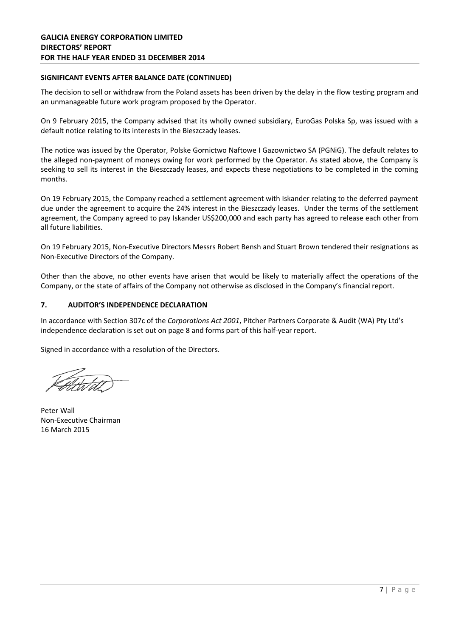## **SIGNIFICANT EVENTS AFTER BALANCE DATE (CONTINUED)**

The decision to sell or withdraw from the Poland assets has been driven by the delay in the flow testing program and an unmanageable future work program proposed by the Operator.

On 9 February 2015, the Company advised that its wholly owned subsidiary, EuroGas Polska Sp, was issued with a default notice relating to its interests in the Bieszczady leases.

The notice was issued by the Operator, Polske Gornictwo Naftowe I Gazownictwo SA (PGNiG). The default relates to the alleged non-payment of moneys owing for work performed by the Operator. As stated above, the Company is seeking to sell its interest in the Bieszczady leases, and expects these negotiations to be completed in the coming months.

On 19 February 2015, the Company reached a settlement agreement with Iskander relating to the deferred payment due under the agreement to acquire the 24% interest in the Bieszczady leases. Under the terms of the settlement agreement, the Company agreed to pay Iskander US\$200,000 and each party has agreed to release each other from all future liabilities.

On 19 February 2015, Non-Executive Directors Messrs Robert Bensh and Stuart Brown tendered their resignations as Non-Executive Directors of the Company.

Other than the above, no other events have arisen that would be likely to materially affect the operations of the Company, or the state of affairs of the Company not otherwise as disclosed in the Company's financial report.

## **7. AUDITOR'S INDEPENDENCE DECLARATION**

In accordance with Section 307c of the *Corporations Act 2001*, Pitcher Partners Corporate & Audit (WA) Pty Ltd's independence declaration is set out on page 8 and forms part of this half-year report.

Signed in accordance with a resolution of the Directors.

Peter Wall Non-Executive Chairman 16 March 2015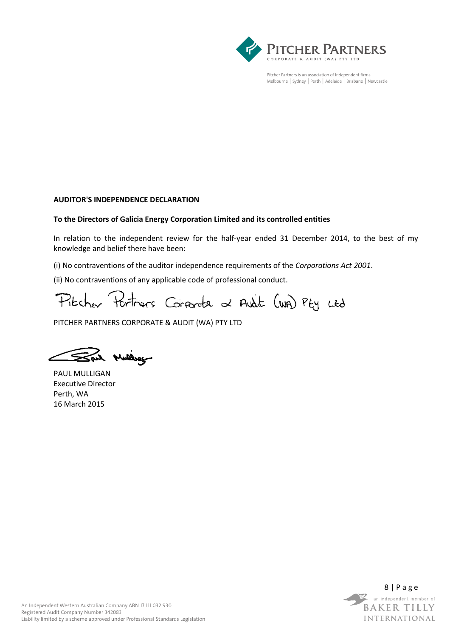

Pitcher Partners is an association of Independent firms Melbourne | Sydney | Perth | Adelaide | Brisbane | Newcastle

## **AUDITOR'S INDEPENDENCE DECLARATION**

## **To the Directors of Galicia Energy Corporation Limited and its controlled entities**

In relation to the independent review for the half-year ended 31 December 2014, to the best of my knowledge and belief there have been:

(i) No contraventions of the auditor independence requirements of the *Corporations Act 2001*.

(ii) No contraventions of any applicable code of professional conduct.

Pitcher Pertners Corporate at Audit (wa) Pty Ltd

PITCHER PARTNERS CORPORATE & AUDIT (WA) PTY LTD

Sal Mulley

PAUL MULLIGAN Executive Director Perth, WA 16 March 2015

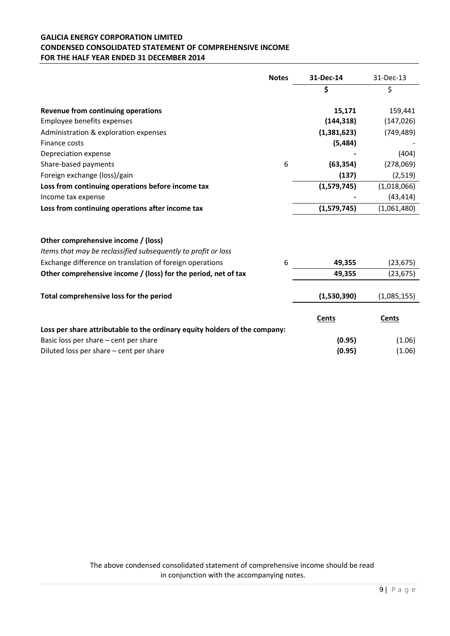## **GALICIA ENERGY CORPORATION LIMITED CONDENSED CONSOLIDATED STATEMENT OF COMPREHENSIVE INCOME FOR THE HALF YEAR ENDED 31 DECEMBER 2014**

|                                                                            | <b>Notes</b> | 31-Dec-14    | 31-Dec-13    |
|----------------------------------------------------------------------------|--------------|--------------|--------------|
|                                                                            |              | \$           | \$           |
| Revenue from continuing operations                                         |              | 15,171       | 159,441      |
| Employee benefits expenses                                                 |              | (144, 318)   | (147, 026)   |
| Administration & exploration expenses                                      |              | (1,381,623)  | (749, 489)   |
| Finance costs                                                              |              | (5, 484)     |              |
| Depreciation expense                                                       |              |              | (404)        |
| Share-based payments                                                       | 6            | (63, 354)    | (278,069)    |
| Foreign exchange (loss)/gain                                               |              | (137)        | (2,519)      |
| Loss from continuing operations before income tax                          |              | (1,579,745)  | (1,018,066)  |
| Income tax expense                                                         |              |              | (43, 414)    |
| Loss from continuing operations after income tax                           |              | (1,579,745)  | (1,061,480)  |
| Other comprehensive income / (loss)                                        |              |              |              |
| Items that may be reclassified subsequently to profit or loss              |              |              |              |
| Exchange difference on translation of foreign operations                   | 6            | 49,355       | (23, 675)    |
| Other comprehensive income / (loss) for the period, net of tax             |              | 49,355       | (23, 675)    |
| Total comprehensive loss for the period                                    |              | (1,530,390)  | (1,085,155)  |
|                                                                            |              | <b>Cents</b> | <b>Cents</b> |
| Loss per share attributable to the ordinary equity holders of the company: |              |              |              |
| Basic loss per share - cent per share                                      |              | (0.95)       | (1.06)       |
| Diluted loss per share - cent per share                                    |              | (0.95)       | (1.06)       |

The above condensed consolidated statement of comprehensive income should be read in conjunction with the accompanying notes.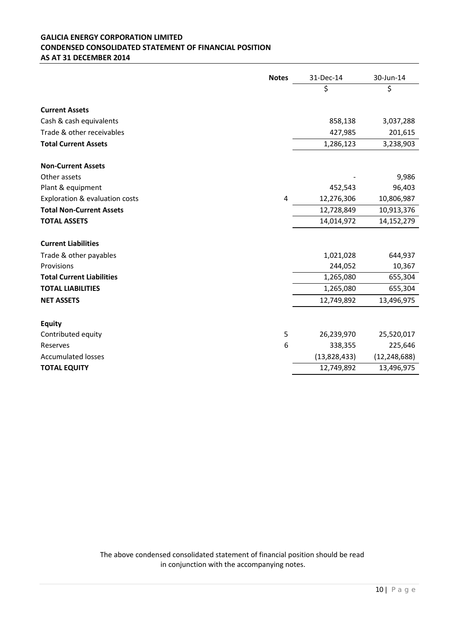## **GALICIA ENERGY CORPORATION LIMITED CONDENSED CONSOLIDATED STATEMENT OF FINANCIAL POSITION AS AT 31 DECEMBER 2014**

|                                  | <b>Notes</b> | 31-Dec-14    | 30-Jun-14      |
|----------------------------------|--------------|--------------|----------------|
|                                  |              | \$           | \$             |
| <b>Current Assets</b>            |              |              |                |
|                                  |              |              |                |
| Cash & cash equivalents          |              | 858,138      | 3,037,288      |
| Trade & other receivables        |              | 427,985      | 201,615        |
| <b>Total Current Assets</b>      |              | 1,286,123    | 3,238,903      |
| <b>Non-Current Assets</b>        |              |              |                |
| Other assets                     |              |              | 9,986          |
| Plant & equipment                |              | 452,543      | 96,403         |
| Exploration & evaluation costs   | 4            | 12,276,306   | 10,806,987     |
| <b>Total Non-Current Assets</b>  |              | 12,728,849   | 10,913,376     |
| <b>TOTAL ASSETS</b>              |              | 14,014,972   | 14,152,279     |
|                                  |              |              |                |
| <b>Current Liabilities</b>       |              |              |                |
| Trade & other payables           |              | 1,021,028    | 644,937        |
| Provisions                       |              | 244,052      | 10,367         |
| <b>Total Current Liabilities</b> |              | 1,265,080    | 655,304        |
| <b>TOTAL LIABILITIES</b>         |              | 1,265,080    | 655,304        |
| <b>NET ASSETS</b>                |              | 12,749,892   | 13,496,975     |
|                                  |              |              |                |
| <b>Equity</b>                    |              |              |                |
| Contributed equity               | 5            | 26,239,970   | 25,520,017     |
| Reserves                         | 6            | 338,355      | 225,646        |
| <b>Accumulated losses</b>        |              | (13,828,433) | (12, 248, 688) |
| <b>TOTAL EQUITY</b>              |              | 12,749,892   | 13,496,975     |

The above condensed consolidated statement of financial position should be read in conjunction with the accompanying notes.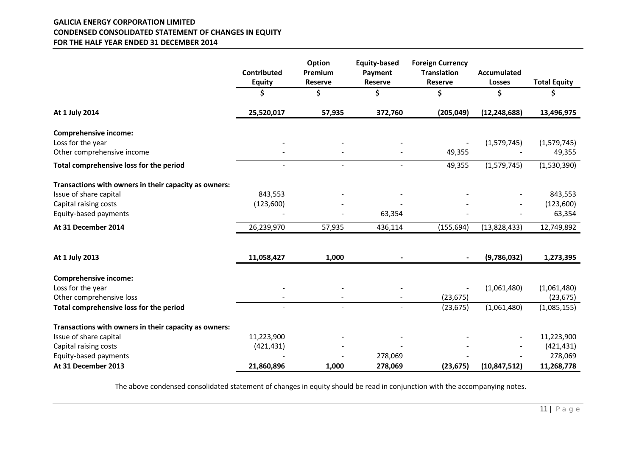## **GALICIA ENERGY CORPORATION LIMITED CONDENSED CONSOLIDATED STATEMENT OF CHANGES IN EQUITY FOR THE HALF YEAR ENDED 31 DECEMBER 2014**

|                                                       | Contributed<br><b>Equity</b> | Option<br>Premium<br><b>Reserve</b> | <b>Equity-based</b><br>Payment<br>Reserve | <b>Foreign Currency</b><br><b>Translation</b><br><b>Reserve</b> | <b>Accumulated</b><br><b>Losses</b> | <b>Total Equity</b> |
|-------------------------------------------------------|------------------------------|-------------------------------------|-------------------------------------------|-----------------------------------------------------------------|-------------------------------------|---------------------|
|                                                       | \$                           | \$                                  | \$                                        | \$                                                              | \$                                  | \$                  |
| At 1 July 2014                                        | 25,520,017                   | 57,935                              | 372,760                                   | (205, 049)                                                      | (12, 248, 688)                      | 13,496,975          |
| <b>Comprehensive income:</b>                          |                              |                                     |                                           |                                                                 |                                     |                     |
| Loss for the year                                     |                              |                                     |                                           |                                                                 | (1,579,745)                         | (1,579,745)         |
| Other comprehensive income                            |                              |                                     |                                           | 49,355                                                          |                                     | 49,355              |
| Total comprehensive loss for the period               |                              | $\overline{a}$                      | $\sim$                                    | 49,355                                                          | (1,579,745)                         | (1,530,390)         |
| Transactions with owners in their capacity as owners: |                              |                                     |                                           |                                                                 |                                     |                     |
| Issue of share capital                                | 843,553                      |                                     |                                           |                                                                 |                                     | 843,553             |
| Capital raising costs                                 | (123,600)                    |                                     |                                           |                                                                 |                                     | (123,600)           |
| Equity-based payments                                 |                              |                                     | 63,354                                    |                                                                 |                                     | 63,354              |
| At 31 December 2014                                   | 26,239,970                   | 57,935                              | 436,114                                   | (155, 694)                                                      | (13,828,433)                        | 12,749,892          |
|                                                       |                              |                                     |                                           |                                                                 |                                     |                     |
| At 1 July 2013                                        | 11,058,427                   | 1,000                               |                                           |                                                                 | (9,786,032)                         | 1,273,395           |
| <b>Comprehensive income:</b>                          |                              |                                     |                                           |                                                                 |                                     |                     |
| Loss for the year                                     |                              |                                     |                                           |                                                                 | (1,061,480)                         | (1,061,480)         |
| Other comprehensive loss                              |                              |                                     | $\overline{\phantom{a}}$                  | (23, 675)                                                       |                                     | (23, 675)           |
| Total comprehensive loss for the period               |                              | $\overline{a}$                      |                                           | (23, 675)                                                       | (1,061,480)                         | (1,085,155)         |
| Transactions with owners in their capacity as owners: |                              |                                     |                                           |                                                                 |                                     |                     |
| Issue of share capital                                | 11,223,900                   |                                     |                                           |                                                                 |                                     | 11,223,900          |
| Capital raising costs                                 | (421, 431)                   |                                     |                                           |                                                                 |                                     | (421, 431)          |
| Equity-based payments                                 |                              |                                     | 278,069                                   |                                                                 |                                     | 278,069             |
| At 31 December 2013                                   | 21,860,896                   | 1,000                               | 278,069                                   | (23, 675)                                                       | (10, 847, 512)                      | 11,268,778          |

The above condensed consolidated statement of changes in equity should be read in conjunction with the accompanying notes.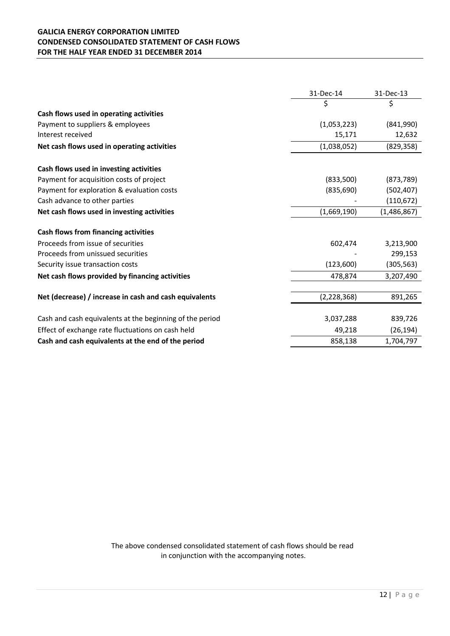# **GALICIA ENERGY CORPORATION LIMITED CONDENSED CONSOLIDATED STATEMENT OF CASH FLOWS FOR THE HALF YEAR ENDED 31 DECEMBER 2014**

|                                                          | 31-Dec-14     | 31-Dec-13   |
|----------------------------------------------------------|---------------|-------------|
|                                                          | \$            | \$          |
| Cash flows used in operating activities                  |               |             |
| Payment to suppliers & employees                         | (1,053,223)   | (841,990)   |
| Interest received                                        | 15,171        | 12,632      |
| Net cash flows used in operating activities              | (1,038,052)   | (829, 358)  |
| Cash flows used in investing activities                  |               |             |
| Payment for acquisition costs of project                 | (833,500)     | (873, 789)  |
| Payment for exploration & evaluation costs               | (835, 690)    | (502, 407)  |
| Cash advance to other parties                            |               | (110, 672)  |
| Net cash flows used in investing activities              | (1,669,190)   | (1,486,867) |
| <b>Cash flows from financing activities</b>              |               |             |
| Proceeds from issue of securities                        | 602,474       | 3,213,900   |
| Proceeds from unissued securities                        |               | 299,153     |
| Security issue transaction costs                         | (123,600)     | (305, 563)  |
| Net cash flows provided by financing activities          | 478,874       | 3,207,490   |
|                                                          |               |             |
| Net (decrease) / increase in cash and cash equivalents   | (2, 228, 368) | 891,265     |
| Cash and cash equivalents at the beginning of the period | 3,037,288     | 839,726     |
| Effect of exchange rate fluctuations on cash held        | 49,218        | (26, 194)   |
| Cash and cash equivalents at the end of the period       | 858,138       | 1,704,797   |

The above condensed consolidated statement of cash flows should be read in conjunction with the accompanying notes.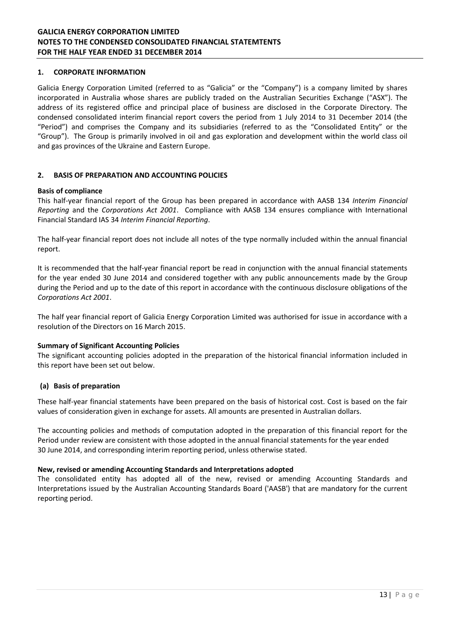## **1. CORPORATE INFORMATION**

Galicia Energy Corporation Limited (referred to as "Galicia" or the "Company") is a company limited by shares incorporated in Australia whose shares are publicly traded on the Australian Securities Exchange ("ASX"). The address of its registered office and principal place of business are disclosed in the Corporate Directory. The condensed consolidated interim financial report covers the period from 1 July 2014 to 31 December 2014 (the "Period") and comprises the Company and its subsidiaries (referred to as the "Consolidated Entity" or the "Group"). The Group is primarily involved in oil and gas exploration and development within the world class oil and gas provinces of the Ukraine and Eastern Europe.

## **2. BASIS OF PREPARATION AND ACCOUNTING POLICIES**

## **Basis of compliance**

This half-year financial report of the Group has been prepared in accordance with AASB 134 *Interim Financial Reporting* and the *Corporations Act 2001*. Compliance with AASB 134 ensures compliance with International Financial Standard IAS 34 *Interim Financial Reporting*.

The half-year financial report does not include all notes of the type normally included within the annual financial report.

It is recommended that the half-year financial report be read in conjunction with the annual financial statements for the year ended 30 June 2014 and considered together with any public announcements made by the Group during the Period and up to the date of this report in accordance with the continuous disclosure obligations of the *Corporations Act 2001*.

The half year financial report of Galicia Energy Corporation Limited was authorised for issue in accordance with a resolution of the Directors on 16 March 2015.

#### **Summary of Significant Accounting Policies**

The significant accounting policies adopted in the preparation of the historical financial information included in this report have been set out below.

## **(a) Basis of preparation**

These half-year financial statements have been prepared on the basis of historical cost. Cost is based on the fair values of consideration given in exchange for assets. All amounts are presented in Australian dollars.

The accounting policies and methods of computation adopted in the preparation of this financial report for the Period under review are consistent with those adopted in the annual financial statements for the year ended 30 June 2014, and corresponding interim reporting period, unless otherwise stated.

## **New, revised or amending Accounting Standards and Interpretations adopted**

The consolidated entity has adopted all of the new, revised or amending Accounting Standards and Interpretations issued by the Australian Accounting Standards Board ('AASB') that are mandatory for the current reporting period.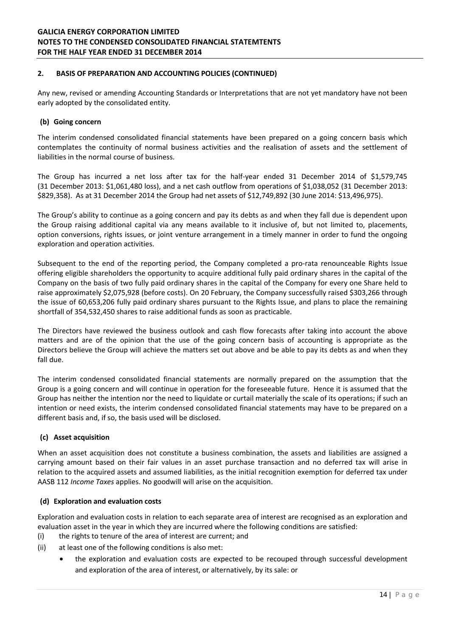## **2. BASIS OF PREPARATION AND ACCOUNTING POLICIES (CONTINUED)**

Any new, revised or amending Accounting Standards or Interpretations that are not yet mandatory have not been early adopted by the consolidated entity.

## **(b) Going concern**

The interim condensed consolidated financial statements have been prepared on a going concern basis which contemplates the continuity of normal business activities and the realisation of assets and the settlement of liabilities in the normal course of business.

The Group has incurred a net loss after tax for the half-year ended 31 December 2014 of \$1,579,745 (31 December 2013: \$1,061,480 loss), and a net cash outflow from operations of \$1,038,052 (31 December 2013: \$829,358). As at 31 December 2014 the Group had net assets of \$12,749,892 (30 June 2014: \$13,496,975).

The Group's ability to continue as a going concern and pay its debts as and when they fall due is dependent upon the Group raising additional capital via any means available to it inclusive of, but not limited to, placements, option conversions, rights issues, or joint venture arrangement in a timely manner in order to fund the ongoing exploration and operation activities.

Subsequent to the end of the reporting period, the Company completed a pro-rata renounceable Rights Issue offering eligible shareholders the opportunity to acquire additional fully paid ordinary shares in the capital of the Company on the basis of two fully paid ordinary shares in the capital of the Company for every one Share held to raise approximately \$2,075,928 (before costs). On 20 February, the Company successfully raised \$303,266 through the issue of 60,653,206 fully paid ordinary shares pursuant to the Rights Issue, and plans to place the remaining shortfall of 354,532,450 shares to raise additional funds as soon as practicable.

The Directors have reviewed the business outlook and cash flow forecasts after taking into account the above matters and are of the opinion that the use of the going concern basis of accounting is appropriate as the Directors believe the Group will achieve the matters set out above and be able to pay its debts as and when they fall due.

The interim condensed consolidated financial statements are normally prepared on the assumption that the Group is a going concern and will continue in operation for the foreseeable future. Hence it is assumed that the Group has neither the intention nor the need to liquidate or curtail materially the scale of its operations; if such an intention or need exists, the interim condensed consolidated financial statements may have to be prepared on a different basis and, if so, the basis used will be disclosed.

# **(c) Asset acquisition**

When an asset acquisition does not constitute a business combination, the assets and liabilities are assigned a carrying amount based on their fair values in an asset purchase transaction and no deferred tax will arise in relation to the acquired assets and assumed liabilities, as the initial recognition exemption for deferred tax under AASB 112 *Income Taxes* applies. No goodwill will arise on the acquisition.

## **(d) Exploration and evaluation costs**

Exploration and evaluation costs in relation to each separate area of interest are recognised as an exploration and evaluation asset in the year in which they are incurred where the following conditions are satisfied:

- (i) the rights to tenure of the area of interest are current; and
- (ii) at least one of the following conditions is also met:
	- the exploration and evaluation costs are expected to be recouped through successful development and exploration of the area of interest, or alternatively, by its sale: or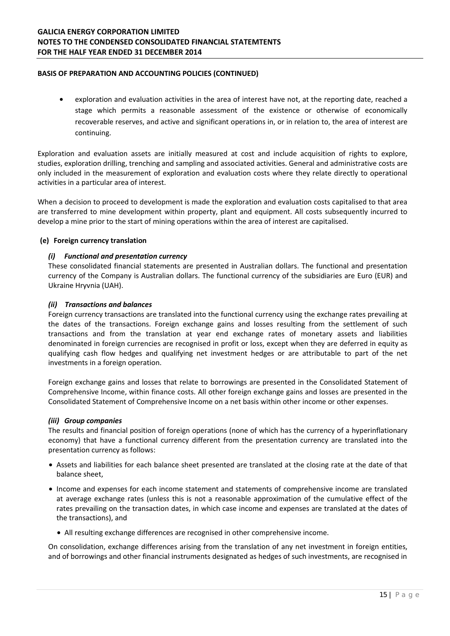## **GALICIA ENERGY CORPORATION LIMITED NOTES TO THE CONDENSED CONSOLIDATED FINANCIAL STATEMTENTS FOR THE HALF YEAR ENDED 31 DECEMBER 2014**

## **BASIS OF PREPARATION AND ACCOUNTING POLICIES (CONTINUED)**

• exploration and evaluation activities in the area of interest have not, at the reporting date, reached a stage which permits a reasonable assessment of the existence or otherwise of economically recoverable reserves, and active and significant operations in, or in relation to, the area of interest are continuing.

Exploration and evaluation assets are initially measured at cost and include acquisition of rights to explore, studies, exploration drilling, trenching and sampling and associated activities. General and administrative costs are only included in the measurement of exploration and evaluation costs where they relate directly to operational activities in a particular area of interest.

When a decision to proceed to development is made the exploration and evaluation costs capitalised to that area are transferred to mine development within property, plant and equipment. All costs subsequently incurred to develop a mine prior to the start of mining operations within the area of interest are capitalised.

## **(e) Foreign currency translation**

## *(i) Functional and presentation currency*

These consolidated financial statements are presented in Australian dollars. The functional and presentation currency of the Company is Australian dollars. The functional currency of the subsidiaries are Euro (EUR) and Ukraine Hryvnia (UAH).

#### *(ii) Transactions and balances*

Foreign currency transactions are translated into the functional currency using the exchange rates prevailing at the dates of the transactions. Foreign exchange gains and losses resulting from the settlement of such transactions and from the translation at year end exchange rates of monetary assets and liabilities denominated in foreign currencies are recognised in profit or loss, except when they are deferred in equity as qualifying cash flow hedges and qualifying net investment hedges or are attributable to part of the net investments in a foreign operation.

Foreign exchange gains and losses that relate to borrowings are presented in the Consolidated Statement of Comprehensive Income, within finance costs. All other foreign exchange gains and losses are presented in the Consolidated Statement of Comprehensive Income on a net basis within other income or other expenses.

#### *(iii) Group companies*

The results and financial position of foreign operations (none of which has the currency of a hyperinflationary economy) that have a functional currency different from the presentation currency are translated into the presentation currency as follows:

- Assets and liabilities for each balance sheet presented are translated at the closing rate at the date of that balance sheet,
- Income and expenses for each income statement and statements of comprehensive income are translated at average exchange rates (unless this is not a reasonable approximation of the cumulative effect of the rates prevailing on the transaction dates, in which case income and expenses are translated at the dates of the transactions), and
	- All resulting exchange differences are recognised in other comprehensive income.

On consolidation, exchange differences arising from the translation of any net investment in foreign entities, and of borrowings and other financial instruments designated as hedges of such investments, are recognised in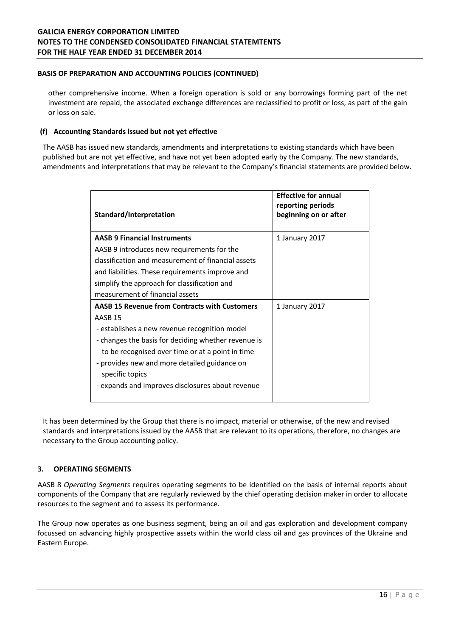## **BASIS OF PREPARATION AND ACCOUNTING POLICIES (CONTINUED)**

other comprehensive income. When a foreign operation is sold or any borrowings forming part of the net investment are repaid, the associated exchange differences are reclassified to profit or loss, as part of the gain or loss on sale.

## **(f) Accounting Standards issued but not yet effective**

The AASB has issued new standards, amendments and interpretations to existing standards which have been published but are not yet effective, and have not yet been adopted early by the Company. The new standards, amendments and interpretations that may be relevant to the Company's financial statements are provided below.

| Standard/Interpretation                                         | <b>Effective for annual</b><br>reporting periods<br>beginning on or after |
|-----------------------------------------------------------------|---------------------------------------------------------------------------|
| <b>AASB 9 Financial Instruments</b>                             | 1 January 2017                                                            |
| AASB 9 introduces new requirements for the                      |                                                                           |
| classification and measurement of financial assets              |                                                                           |
| and liabilities. These requirements improve and                 |                                                                           |
| simplify the approach for classification and                    |                                                                           |
| measurement of financial assets                                 |                                                                           |
| <b>AASB 15 Revenue from Contracts with Customers</b>            | 1 January 2017                                                            |
| AASB <sub>15</sub>                                              |                                                                           |
| - establishes a new revenue recognition model                   |                                                                           |
| - changes the basis for deciding whether revenue is             |                                                                           |
| to be recognised over time or at a point in time                |                                                                           |
| - provides new and more detailed guidance on<br>specific topics |                                                                           |
| - expands and improves disclosures about revenue                |                                                                           |

It has been determined by the Group that there is no impact, material or otherwise, of the new and revised standards and interpretations issued by the AASB that are relevant to its operations, therefore, no changes are necessary to the Group accounting policy.

## **3. OPERATING SEGMENTS**

AASB 8 *Operating Segments* requires operating segments to be identified on the basis of internal reports about components of the Company that are regularly reviewed by the chief operating decision maker in order to allocate resources to the segment and to assess its performance.

The Group now operates as one business segment, being an oil and gas exploration and development company focussed on advancing highly prospective assets within the world class oil and gas provinces of the Ukraine and Eastern Europe.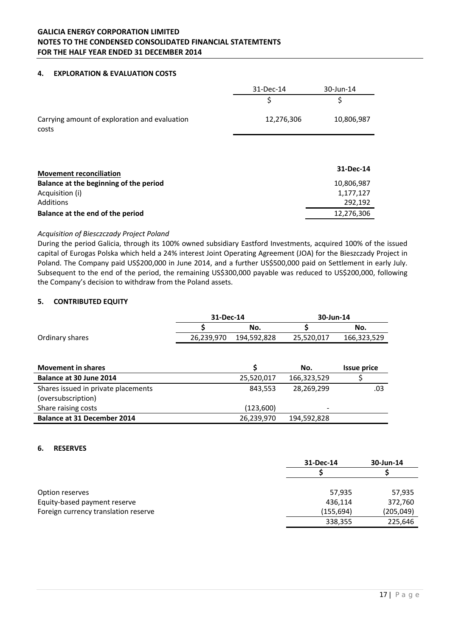# **GALICIA ENERGY CORPORATION LIMITED NOTES TO THE CONDENSED CONSOLIDATED FINANCIAL STATEMTENTS FOR THE HALF YEAR ENDED 31 DECEMBER 2014**

#### **4. EXPLORATION & EVALUATION COSTS**

|                                                        | 31-Dec-14  | 30-Jun-14  |
|--------------------------------------------------------|------------|------------|
|                                                        | Ş          | \$         |
| Carrying amount of exploration and evaluation<br>costs | 12,276,306 | 10,806,987 |
|                                                        |            |            |
| <b>Movement reconciliation</b>                         |            | 31-Dec-14  |
| Balance at the beginning of the period                 |            | 10,806,987 |
| Acquisition (i)                                        |            | 1,177,127  |
| Additions                                              |            | 292,192    |
| Balance at the end of the period                       |            | 12,276,306 |

## *Acquisition of Biesczczady Project Poland*

During the period Galicia, through its 100% owned subsidiary Eastford Investments, acquired 100% of the issued capital of Eurogas Polska which held a 24% interest Joint Operating Agreement (JOA) for the Bieszczady Project in Poland. The Company paid US\$200,000 in June 2014, and a further US\$500,000 paid on Settlement in early July. Subsequent to the end of the period, the remaining US\$300,000 payable was reduced to US\$200,000, following the Company's decision to withdraw from the Poland assets.

## **5. CONTRIBUTED EQUITY**

|                                     | 31-Dec-14  |             | 30-Jun-14   |                    |
|-------------------------------------|------------|-------------|-------------|--------------------|
|                                     |            | No.         |             | No.                |
| Ordinary shares                     | 26,239,970 | 194,592,828 | 25,520,017  | 166,323,529        |
|                                     |            |             |             |                    |
|                                     |            |             |             |                    |
| <b>Movement in shares</b>           |            | Ś           | No.         | <b>Issue price</b> |
| Balance at 30 June 2014             |            | 25,520,017  | 166,323,529 |                    |
| Shares issued in private placements |            | 843,553     | 28,269,299  | .03                |
| (oversubscription)                  |            |             |             |                    |
| Share raising costs                 |            | (123,600)   |             |                    |
| <b>Balance at 31 December 2014</b>  |            | 26,239,970  | 194,592,828 |                    |

#### **6. RESERVES**

|                                      | 31-Dec-14  | 30-Jun-14  |
|--------------------------------------|------------|------------|
|                                      |            |            |
| Option reserves                      | 57,935     | 57,935     |
| Equity-based payment reserve         | 436,114    | 372,760    |
| Foreign currency translation reserve | (155, 694) | (205, 049) |
|                                      | 338,355    | 225,646    |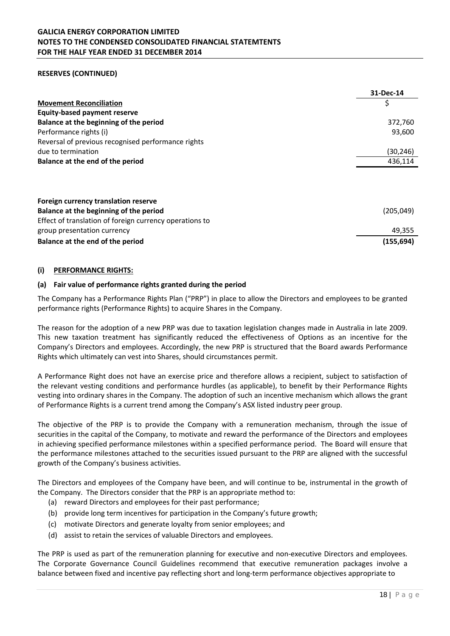## **RESERVES (CONTINUED)**

|                                                         | 31-Dec-14  |
|---------------------------------------------------------|------------|
| <b>Movement Reconciliation</b>                          | \$         |
| <b>Equity-based payment reserve</b>                     |            |
| Balance at the beginning of the period                  | 372,760    |
| Performance rights (i)                                  | 93,600     |
| Reversal of previous recognised performance rights      |            |
| due to termination                                      | (30,246)   |
| Balance at the end of the period                        | 436,114    |
|                                                         |            |
| Foreign currency translation reserve                    |            |
| Balance at the beginning of the period                  | (205, 049) |
| Effect of translation of foreign currency operations to |            |
| group presentation currency                             | 49,355     |
| Balance at the end of the period                        | (155, 694) |

#### **(i) PERFORMANCE RIGHTS:**

## **(a) Fair value of performance rights granted during the period**

The Company has a Performance Rights Plan ("PRP") in place to allow the Directors and employees to be granted performance rights (Performance Rights) to acquire Shares in the Company.

The reason for the adoption of a new PRP was due to taxation legislation changes made in Australia in late 2009. This new taxation treatment has significantly reduced the effectiveness of Options as an incentive for the Company's Directors and employees. Accordingly, the new PRP is structured that the Board awards Performance Rights which ultimately can vest into Shares, should circumstances permit.

A Performance Right does not have an exercise price and therefore allows a recipient, subject to satisfaction of the relevant vesting conditions and performance hurdles (as applicable), to benefit by their Performance Rights vesting into ordinary shares in the Company. The adoption of such an incentive mechanism which allows the grant of Performance Rights is a current trend among the Company's ASX listed industry peer group.

The objective of the PRP is to provide the Company with a remuneration mechanism, through the issue of securities in the capital of the Company, to motivate and reward the performance of the Directors and employees in achieving specified performance milestones within a specified performance period. The Board will ensure that the performance milestones attached to the securities issued pursuant to the PRP are aligned with the successful growth of the Company's business activities.

The Directors and employees of the Company have been, and will continue to be, instrumental in the growth of the Company. The Directors consider that the PRP is an appropriate method to:

- (a) reward Directors and employees for their past performance;
- (b) provide long term incentives for participation in the Company's future growth;
- (c) motivate Directors and generate loyalty from senior employees; and
- (d) assist to retain the services of valuable Directors and employees.

The PRP is used as part of the remuneration planning for executive and non-executive Directors and employees. The Corporate Governance Council Guidelines recommend that executive remuneration packages involve a balance between fixed and incentive pay reflecting short and long-term performance objectives appropriate to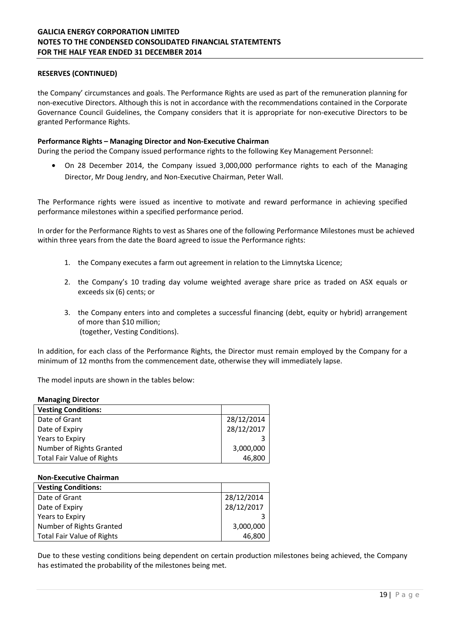## **RESERVES (CONTINUED)**

the Company' circumstances and goals. The Performance Rights are used as part of the remuneration planning for non-executive Directors. Although this is not in accordance with the recommendations contained in the Corporate Governance Council Guidelines, the Company considers that it is appropriate for non-executive Directors to be granted Performance Rights.

#### **Performance Rights – Managing Director and Non-Executive Chairman**

During the period the Company issued performance rights to the following Key Management Personnel:

• On 28 December 2014, the Company issued 3,000,000 performance rights to each of the Managing Director, Mr Doug Jendry, and Non-Executive Chairman, Peter Wall.

The Performance rights were issued as incentive to motivate and reward performance in achieving specified performance milestones within a specified performance period.

In order for the Performance Rights to vest as Shares one of the following Performance Milestones must be achieved within three years from the date the Board agreed to issue the Performance rights:

- 1. the Company executes a farm out agreement in relation to the Limnytska Licence;
- 2. the Company's 10 trading day volume weighted average share price as traded on ASX equals or exceeds six (6) cents; or
- 3. the Company enters into and completes a successful financing (debt, equity or hybrid) arrangement of more than \$10 million; (together, Vesting Conditions).

In addition, for each class of the Performance Rights, the Director must remain employed by the Company for a minimum of 12 months from the commencement date, otherwise they will immediately lapse.

The model inputs are shown in the tables below:

#### **Managing Director**

| <b>Vesting Conditions:</b>        |            |
|-----------------------------------|------------|
| Date of Grant                     | 28/12/2014 |
| Date of Expiry                    | 28/12/2017 |
| Years to Expiry                   |            |
| Number of Rights Granted          | 3,000,000  |
| <b>Total Fair Value of Rights</b> | 46.800     |

#### **Non-Executive Chairman**

| <b>Vesting Conditions:</b>        |            |
|-----------------------------------|------------|
| Date of Grant                     | 28/12/2014 |
| Date of Expiry                    | 28/12/2017 |
| Years to Expiry                   |            |
| Number of Rights Granted          | 3,000,000  |
| <b>Total Fair Value of Rights</b> | 46,800     |

Due to these vesting conditions being dependent on certain production milestones being achieved, the Company has estimated the probability of the milestones being met.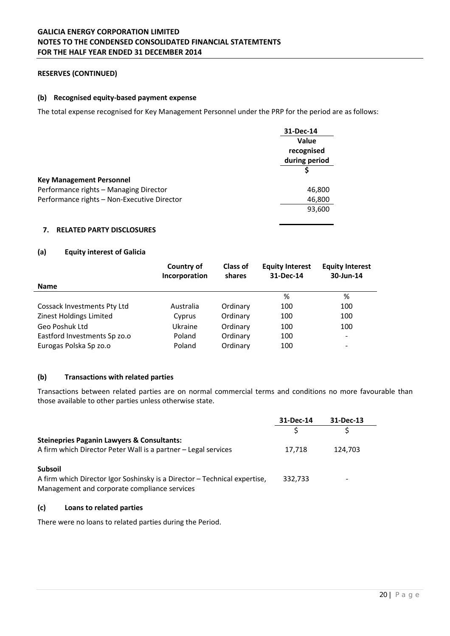## **RESERVES (CONTINUED)**

## **(b) Recognised equity-based payment expense**

The total expense recognised for Key Management Personnel under the PRP for the period are as follows:

|                                             | 31-Dec-14<br>Value<br>recognised<br>during period |  |
|---------------------------------------------|---------------------------------------------------|--|
|                                             |                                                   |  |
|                                             |                                                   |  |
|                                             |                                                   |  |
|                                             |                                                   |  |
| <b>Key Management Personnel</b>             |                                                   |  |
| Performance rights - Managing Director      | 46,800                                            |  |
| Performance rights - Non-Executive Director | 46,800                                            |  |
|                                             | 93,600                                            |  |
|                                             |                                                   |  |

## **7. RELATED PARTY DISCLOSURES**

## **(a) Equity interest of Galicia**

|                              | Country of<br>Incorporation | <b>Class of</b><br>shares | <b>Equity Interest</b><br>31-Dec-14 | <b>Equity Interest</b><br>30-Jun-14 |
|------------------------------|-----------------------------|---------------------------|-------------------------------------|-------------------------------------|
| <b>Name</b>                  |                             |                           |                                     |                                     |
|                              |                             |                           | %                                   | %                                   |
| Cossack Investments Pty Ltd  | Australia                   | Ordinary                  | 100                                 | 100                                 |
| Zinest Holdings Limited      | Cyprus                      | Ordinary                  | 100                                 | 100                                 |
| Geo Poshuk Ltd               | Ukraine                     | Ordinary                  | 100                                 | 100                                 |
| Eastford Investments Sp zo.o | Poland                      | Ordinary                  | 100                                 | $\overline{\phantom{a}}$            |
| Eurogas Polska Sp zo.o       | Poland                      | Ordinary                  | 100                                 | $\overline{\phantom{a}}$            |

### **(b) Transactions with related parties**

Transactions between related parties are on normal commercial terms and conditions no more favourable than those available to other parties unless otherwise state.

|                                                                                                                           | 31-Dec-14 | 31-Dec-13 |
|---------------------------------------------------------------------------------------------------------------------------|-----------|-----------|
|                                                                                                                           |           |           |
| <b>Steinepries Paganin Lawyers &amp; Consultants:</b>                                                                     |           |           |
| A firm which Director Peter Wall is a partner – Legal services                                                            | 17,718    | 124,703   |
| <b>Subsoil</b>                                                                                                            |           |           |
| A firm which Director Igor Soshinsky is a Director – Technical expertise,<br>Management and corporate compliance services | 332,733   | -         |

## **(c) Loans to related parties**

There were no loans to related parties during the Period.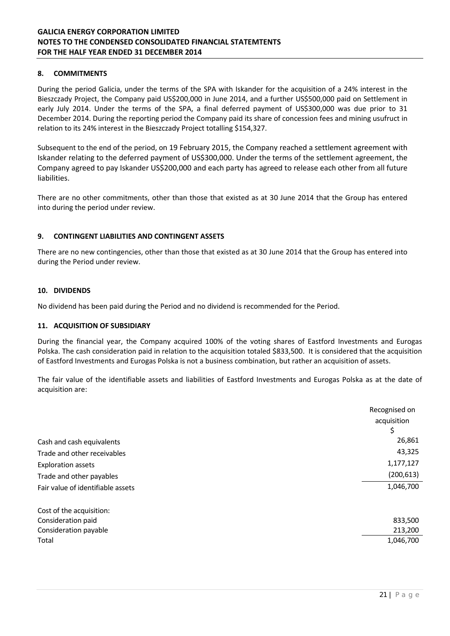## **8. COMMITMENTS**

During the period Galicia, under the terms of the SPA with Iskander for the acquisition of a 24% interest in the Bieszczady Project, the Company paid US\$200,000 in June 2014, and a further US\$500,000 paid on Settlement in early July 2014. Under the terms of the SPA, a final deferred payment of US\$300,000 was due prior to 31 December 2014. During the reporting period the Company paid its share of concession fees and mining usufruct in relation to its 24% interest in the Bieszczady Project totalling \$154,327.

Subsequent to the end of the period, on 19 February 2015, the Company reached a settlement agreement with Iskander relating to the deferred payment of US\$300,000. Under the terms of the settlement agreement, the Company agreed to pay Iskander US\$200,000 and each party has agreed to release each other from all future liabilities.

There are no other commitments, other than those that existed as at 30 June 2014 that the Group has entered into during the period under review.

## **9. CONTINGENT LIABILITIES AND CONTINGENT ASSETS**

There are no new contingencies, other than those that existed as at 30 June 2014 that the Group has entered into during the Period under review.

#### **10. DIVIDENDS**

No dividend has been paid during the Period and no dividend is recommended for the Period.

#### **11. ACQUISITION OF SUBSIDIARY**

During the financial year, the Company acquired 100% of the voting shares of Eastford Investments and Eurogas Polska. The cash consideration paid in relation to the acquisition totaled \$833,500. It is considered that the acquisition of Eastford Investments and Eurogas Polska is not a business combination, but rather an acquisition of assets.

The fair value of the identifiable assets and liabilities of Eastford Investments and Eurogas Polska as at the date of acquisition are:

|                                   | Recognised on |
|-----------------------------------|---------------|
|                                   | acquisition   |
|                                   |               |
| Cash and cash equivalents         | 26,861        |
| Trade and other receivables       | 43,325        |
| <b>Exploration assets</b>         | 1,177,127     |
| Trade and other payables          | (200, 613)    |
| Fair value of identifiable assets | 1,046,700     |
| Cost of the acquisition:          |               |
| Consideration paid                | 833,500       |
| Consideration payable             | 213,200       |
| Total                             | 1,046,700     |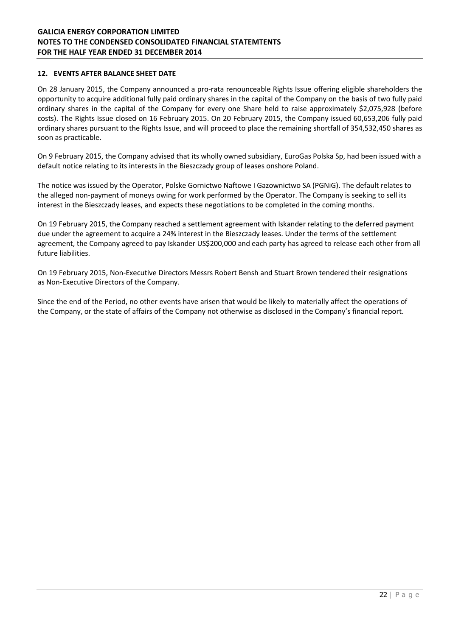## **12. EVENTS AFTER BALANCE SHEET DATE**

On 28 January 2015, the Company announced a pro-rata renounceable Rights Issue offering eligible shareholders the opportunity to acquire additional fully paid ordinary shares in the capital of the Company on the basis of two fully paid ordinary shares in the capital of the Company for every one Share held to raise approximately \$2,075,928 (before costs). The Rights Issue closed on 16 February 2015. On 20 February 2015, the Company issued 60,653,206 fully paid ordinary shares pursuant to the Rights Issue, and will proceed to place the remaining shortfall of 354,532,450 shares as soon as practicable.

On 9 February 2015, the Company advised that its wholly owned subsidiary, EuroGas Polska Sp, had been issued with a default notice relating to its interests in the Bieszczady group of leases onshore Poland.

The notice was issued by the Operator, Polske Gornictwo Naftowe I Gazownictwo SA (PGNiG). The default relates to the alleged non-payment of moneys owing for work performed by the Operator. The Company is seeking to sell its interest in the Bieszczady leases, and expects these negotiations to be completed in the coming months.

On 19 February 2015, the Company reached a settlement agreement with Iskander relating to the deferred payment due under the agreement to acquire a 24% interest in the Bieszczady leases. Under the terms of the settlement agreement, the Company agreed to pay Iskander US\$200,000 and each party has agreed to release each other from all future liabilities.

On 19 February 2015, Non-Executive Directors Messrs Robert Bensh and Stuart Brown tendered their resignations as Non-Executive Directors of the Company.

Since the end of the Period, no other events have arisen that would be likely to materially affect the operations of the Company, or the state of affairs of the Company not otherwise as disclosed in the Company's financial report.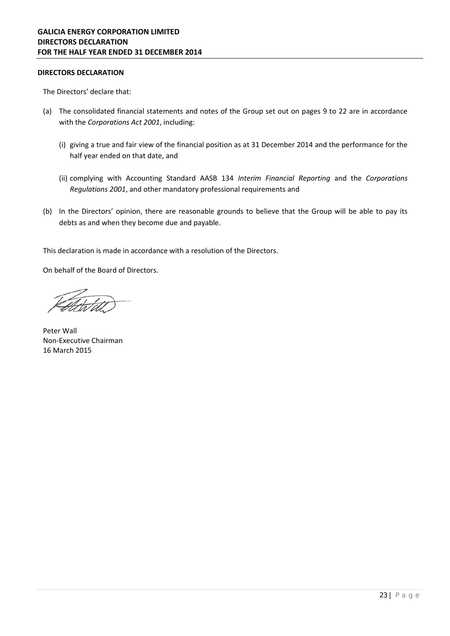## **DIRECTORS DECLARATION**

The Directors' declare that:

- (a) The consolidated financial statements and notes of the Group set out on pages 9 to 22 are in accordance with the *Corporations Act 2001*, including:
	- (i) giving a true and fair view of the financial position as at 31 December 2014 and the performance for the half year ended on that date, and
	- (ii) complying with Accounting Standard AASB 134 *Interim Financial Reporting* and the *Corporations Regulations 2001*, and other mandatory professional requirements and
- (b) In the Directors' opinion, there are reasonable grounds to believe that the Group will be able to pay its debts as and when they become due and payable.

This declaration is made in accordance with a resolution of the Directors.

On behalf of the Board of Directors.

Peter Wall Non-Executive Chairman 16 March 2015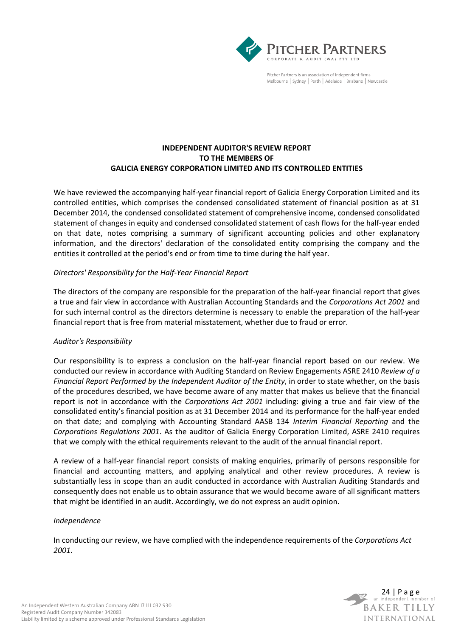

Pitcher Partners is an association of Independent firms Melbourne | Sydney | Perth | Adelaide | Brisbane | Newcastle

## **INDEPENDENT AUDITOR'S REVIEW REPORT TO THE MEMBERS OF GALICIA ENERGY CORPORATION LIMITED AND ITS CONTROLLED ENTITIES**

We have reviewed the accompanying half-year financial report of Galicia Energy Corporation Limited and its controlled entities, which comprises the condensed consolidated statement of financial position as at 31 December 2014, the condensed consolidated statement of comprehensive income, condensed consolidated statement of changes in equity and condensed consolidated statement of cash flows for the half-year ended on that date, notes comprising a summary of significant accounting policies and other explanatory information, and the directors' declaration of the consolidated entity comprising the company and the entities it controlled at the period's end or from time to time during the half year.

## *Directors' Responsibility for the Half-Year Financial Report*

The directors of the company are responsible for the preparation of the half-year financial report that gives a true and fair view in accordance with Australian Accounting Standards and the *Corporations Act 2001* and for such internal control as the directors determine is necessary to enable the preparation of the half-year financial report that is free from material misstatement, whether due to fraud or error.

## *Auditor's Responsibility*

Our responsibility is to express a conclusion on the half-year financial report based on our review. We conducted our review in accordance with Auditing Standard on Review Engagements ASRE 2410 *Review of a Financial Report Performed by the Independent Auditor of the Entity*, in order to state whether, on the basis of the procedures described, we have become aware of any matter that makes us believe that the financial report is not in accordance with the *Corporations Act 2001* including: giving a true and fair view of the consolidated entity's financial position as at 31 December 2014 and its performance for the half-year ended on that date; and complying with Accounting Standard AASB 134 *Interim Financial Reporting* and the *Corporations Regulations 2001*. As the auditor of Galicia Energy Corporation Limited, ASRE 2410 requires that we comply with the ethical requirements relevant to the audit of the annual financial report.

A review of a half-year financial report consists of making enquiries, primarily of persons responsible for financial and accounting matters, and applying analytical and other review procedures. A review is substantially less in scope than an audit conducted in accordance with Australian Auditing Standards and consequently does not enable us to obtain assurance that we would become aware of all significant matters that might be identified in an audit. Accordingly, we do not express an audit opinion.

## *Independence*

In conducting our review, we have complied with the independence requirements of the *Corporations Act 2001*.